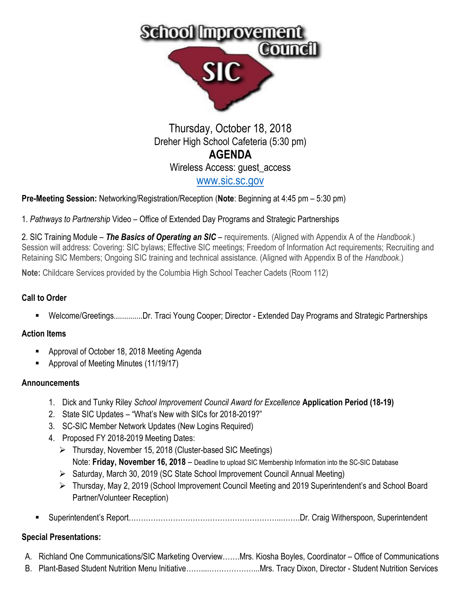

# Thursday, October 18, 2018 Dreher High School Cafeteria (5:30 pm) **AGENDA** Wireless Access: guest\_access [www.sic.sc.gov](http://www.sic.sc.gov/)

**Pre-Meeting Session:** Networking/Registration/Reception (**Note**: Beginning at 4:45 pm – 5:30 pm)

1. *Pathways to Partnership* Video – Office of Extended Day Programs and Strategic Partnerships

2. SIC Training Module – *The Basics of Operating an SIC* – requirements. (Aligned with Appendix A of the *Handbook*.) Session will address: Covering: SIC bylaws; Effective SIC meetings; Freedom of Information Act requirements; Recruiting and Retaining SIC Members; Ongoing SIC training and technical assistance. (Aligned with Appendix B of the *Handbook*.)

**Note:** Childcare Services provided by the Columbia High School Teacher Cadets (Room 112)

### **Call to Order**

▪ Welcome/Greetings..............Dr. Traci Young Cooper; Director - Extended Day Programs and Strategic Partnerships

### **Action Items**

- Approval of October 18, 2018 Meeting Agenda
- Approval of Meeting Minutes (11/19/17)

### **Announcements**

- 1. Dick and Tunky Riley *School Improvement Council Award for Excellence* **Application Period (18-19)**
- 2. State SIC Updates "What's New with SICs for 2018-2019?"
- 3. SC-SIC Member Network Updates (New Logins Required)
- 4. Proposed FY 2018-2019 Meeting Dates:
	- ➢ Thursday, November 15, 2018 (Cluster-based SIC Meetings) Note: **Friday, November 16, 2018** – Deadline to upload SIC Membership Information into the SC-SIC Database
	- ➢ Saturday, March 30, 2019 (SC State School Improvement Council Annual Meeting)
	- ➢ Thursday, May 2, 2019 (School Improvement Council Meeting and 2019 Superintendent's and School Board Partner/Volunteer Reception)
- Superintendent's Report……………………………………………………...…….Dr. Craig Witherspoon, Superintendent

## **Special Presentations:**

- A. Richland One Communications/SIC Marketing Overview…….Mrs. Kiosha Boyles, Coordinator Office of Communications
- B. Plant-Based Student Nutrition Menu Initiative……....………………...Mrs. Tracy Dixon, Director Student Nutrition Services